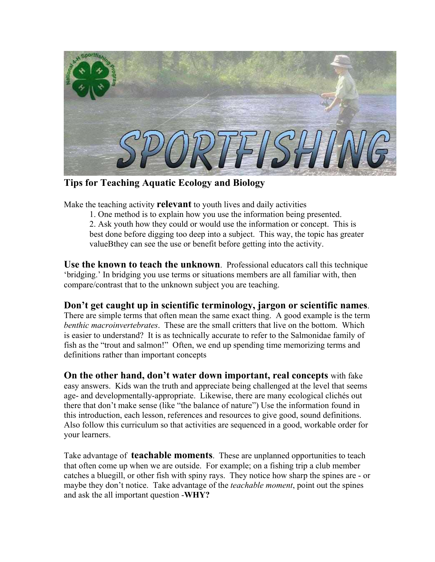

**Tips for Teaching Aquatic Ecology and Biology** 

Make the teaching activity **relevant** to youth lives and daily activities

1. One method is to explain how you use the information being presented.

2. Ask youth how they could or would use the information or concept. This is best done before digging too deep into a subject. This way, the topic has greater valueBthey can see the use or benefit before getting into the activity.

**Use the known to teach the unknown**. Professional educators call this technique 'bridging.' In bridging you use terms or situations members are all familiar with, then compare/contrast that to the unknown subject you are teaching.

**Don't get caught up in scientific terminology, jargon or scientific names**. There are simple terms that often mean the same exact thing. A good example is the term *benthic macroinvertebrates*. These are the small critters that live on the bottom. Which is easier to understand? It is as technically accurate to refer to the Salmonidae family of fish as the "trout and salmon!" Often, we end up spending time memorizing terms and definitions rather than important concepts

**On the other hand, don't water down important, real concepts** with fake easy answers. Kids wan the truth and appreciate being challenged at the level that seems age- and developmentally-appropriate. Likewise, there are many ecological clichés out there that don't make sense (like "the balance of nature") Use the information found in this introduction, each lesson, references and resources to give good, sound definitions. Also follow this curriculum so that activities are sequenced in a good, workable order for your learners.

Take advantage of **teachable moments**. These are unplanned opportunities to teach that often come up when we are outside. For example; on a fishing trip a club member catches a bluegill, or other fish with spiny rays. They notice how sharp the spines are - or maybe they don't notice. Take advantage of the *teachable moment*, point out the spines and ask the all important question -**WHY?**